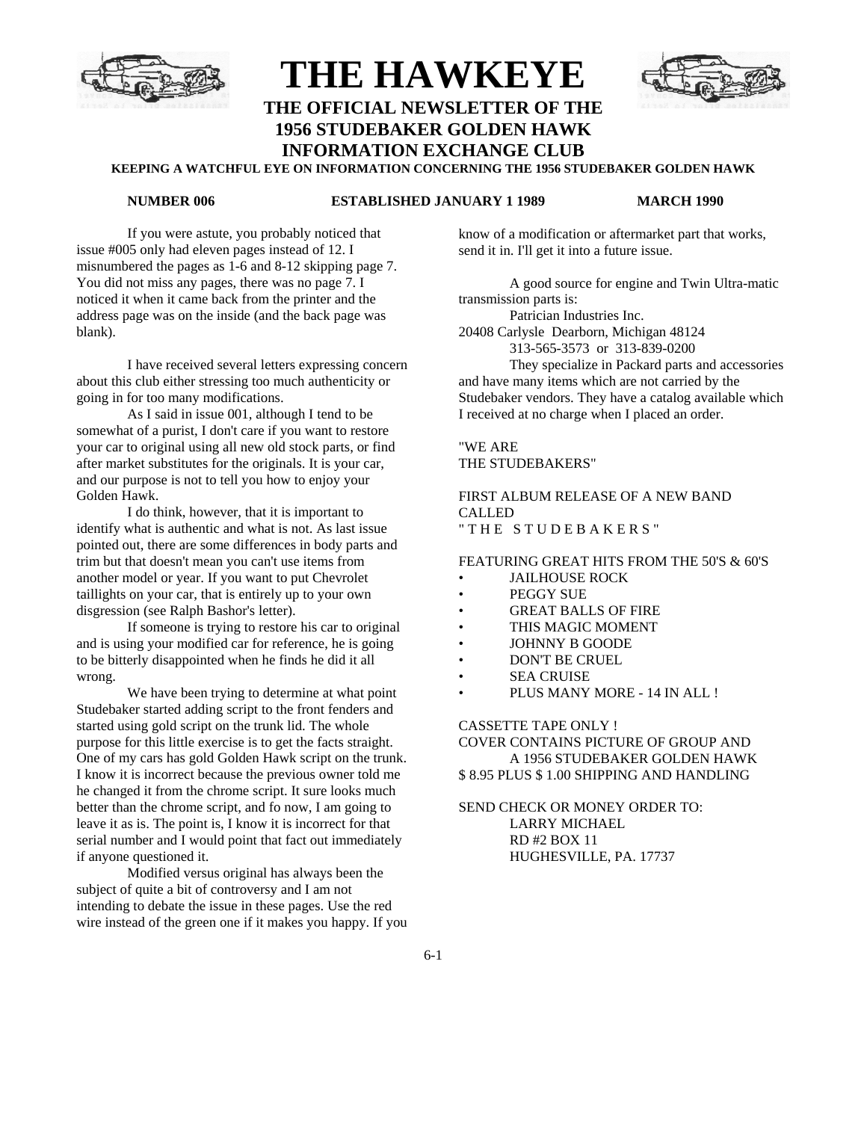

# **THE HAWKEYE THE OFFICIAL NEWSLETTER OF THE 1956 STUDEBAKER GOLDEN HAWK INFORMATION EXCHANGE CLUB**



### **KEEPING A WATCHFUL EYE ON INFORMATION CONCERNING THE 1956 STUDEBAKER GOLDEN HAWK**

### **NUMBER 006 ESTABLISHED JANUARY 1 1989 MARCH 1990**

If you were astute, you probably noticed that issue #005 only had eleven pages instead of 12. I misnumbered the pages as 1-6 and 8-12 skipping page 7. You did not miss any pages, there was no page 7. I noticed it when it came back from the printer and the address page was on the inside (and the back page was blank).

I have received several letters expressing concern about this club either stressing too much authenticity or going in for too many modifications.

As I said in issue 001, although I tend to be somewhat of a purist, I don't care if you want to restore your car to original using all new old stock parts, or find after market substitutes for the originals. It is your car, and our purpose is not to tell you how to enjoy your Golden Hawk.

I do think, however, that it is important to identify what is authentic and what is not. As last issue pointed out, there are some differences in body parts and trim but that doesn't mean you can't use items from another model or year. If you want to put Chevrolet taillights on your car, that is entirely up to your own disgression (see Ralph Bashor's letter).

If someone is trying to restore his car to original and is using your modified car for reference, he is going to be bitterly disappointed when he finds he did it all wrong.

We have been trying to determine at what point Studebaker started adding script to the front fenders and started using gold script on the trunk lid. The whole purpose for this little exercise is to get the facts straight. One of my cars has gold Golden Hawk script on the trunk. I know it is incorrect because the previous owner told me he changed it from the chrome script. It sure looks much better than the chrome script, and fo now, I am going to leave it as is. The point is, I know it is incorrect for that serial number and I would point that fact out immediately if anyone questioned it.

Modified versus original has always been the subject of quite a bit of controversy and I am not intending to debate the issue in these pages. Use the red wire instead of the green one if it makes you happy. If you know of a modification or aftermarket part that works, send it in. I'll get it into a future issue.

A good source for engine and Twin Ultra-matic transmission parts is:

Patrician Industries Inc.

20408 Carlysle Dearborn, Michigan 48124

313-565-3573 or 313-839-0200

They specialize in Packard parts and accessories and have many items which are not carried by the Studebaker vendors. They have a catalog available which I received at no charge when I placed an order.

"WE ARE THE STUDEBAKERS"

FIRST ALBUM RELEASE OF A NEW BAND CALLED " THE STUDEBAKERS"

### FEATURING GREAT HITS FROM THE 50'S & 60'S

- JAILHOUSE ROCK
- PEGGY SUE
- GREAT BALLS OF FIRE
- THIS MAGIC MOMENT
- JOHNNY B GOODE
- DON'T BE CRUEL
- **SEA CRUISE**
- PLUS MANY MORE 14 IN ALL !

CASSETTE TAPE ONLY !

COVER CONTAINS PICTURE OF GROUP AND A 1956 STUDEBAKER GOLDEN HAWK \$ 8.95 PLUS \$ 1.00 SHIPPING AND HANDLING

SEND CHECK OR MONEY ORDER TO: LARRY MICHAEL RD #2 BOX 11 HUGHESVILLE, PA. 17737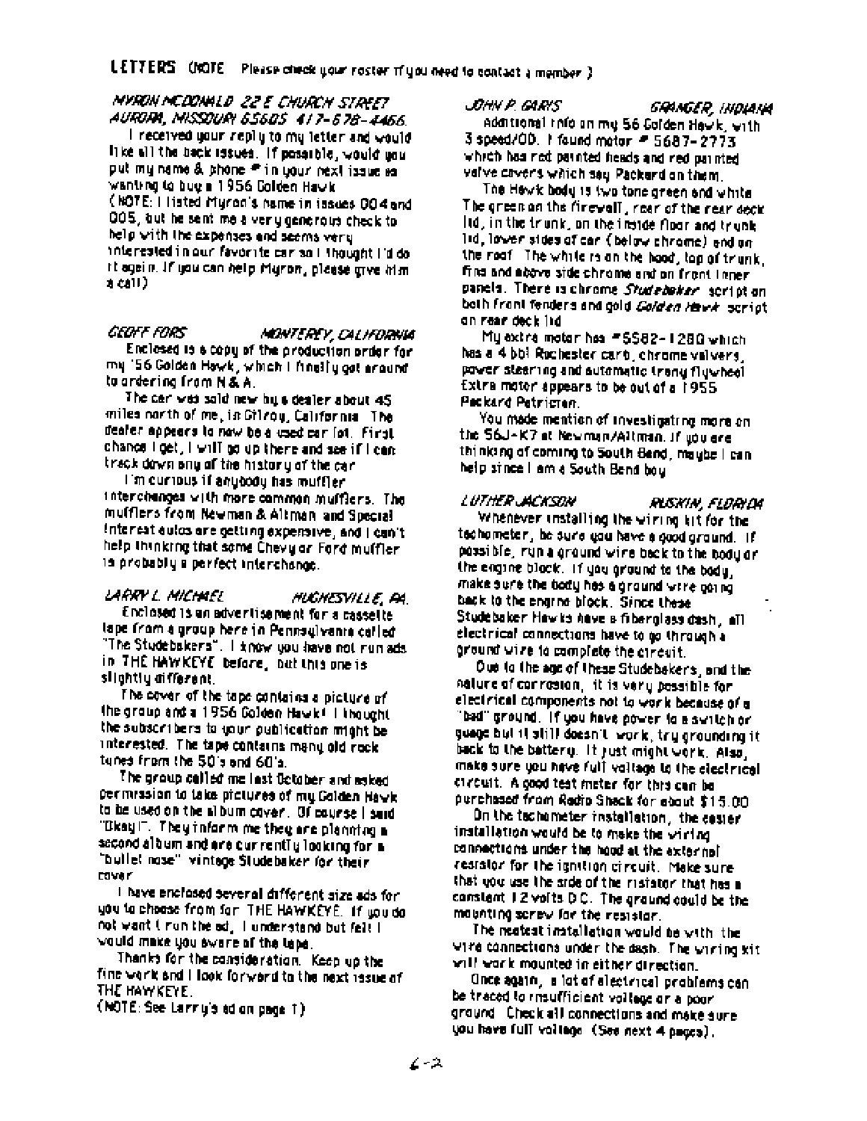### MYRON MCDONALD 22 E CHURCH STREET AURORA, MISSOURI 65605 417-678-4466.

 $\mathsf I$  received your reply to my letter and  $\varphi_0$ uid. like all the back issues. If possible, would you put mu name & phone # in your next issue as wanting to bug a 1956 Colden Hawk (NOTE: I listed Muron's name in issues 004 and 005, but he sent me a very generous check to help with the expenses and seems very interested in our favorite car so I thought I'd do. it again. If you can help Myron, please give him. a call )

### **CEOFF FORS**

### MONTEREY, CALIFORNIA

Enclosed is a copy of the production proof for my '56 Golden Hawk, which I finally got around to ardering from N & A.

The car was sold new bulls dealer about 45 miles north of me, in Gilvou, California. The dealer appears to now be a used car fot. First, chance light, I will go up there and see if I can track down any of the history of the cen

I'm curious if anybody has muffler interchances with more common mufflers. The mulflers from Newman & Altman, and Special Interest autos are oetting expensive, and I can't help Ininking that some Chevy or Ford mulfler. 15 probably a perfect interchange.

### LARRY L. MICHAEL HUGHESVILLE, PA

Enclosed is an advertisement for a cassette lape from a group here in Pennsulvania called "The Studebakers". I know you have not run ads. in THE HAWKEYE before, but this one is slightly different.

The cover of the tape contains a picture of the group and a 1956 Golden Hawk! I thought the subscribers to your oublication might be interested. The tape contains many old rock tunes from the 50's and 60's.

The group called me last October and asked per mission to take pictures of my Golden Hawk. to be used on the album cover. Of course I said. "Dkay!". They inform me they are planning a second album and are currently looking for a "bullet nose" vintage Studebaker for their **DOM Y** 

I have enclosed several different size ads for you to choose from for THE HAWKEYE. If you do not want I run the ed. I understand but felt I would make you ewere of the tepe.

Thanks for the consideration. Keep up the fine work and I look forward to the next issue of THE HAWKEYE.

(NOTE: See Larry's ad on page 1)

### JOHN P GLENS

GRANGER, INDIANA additional info on me 56 Colden Havik, with 3 speed/00. I found motor = 5687-2773 which has ned painted heads and ned painted. valve covers which say Packard on them.

The Hewic body is two tone green and white The green on the firewall, rear of the rear deck. lid, in the trunk, on the inside floor and trunk. lid. lower sides of car (below chrome) and on the roof. The white is an the hood, top of trunk. fins and above side chrome and on front litner. panels. There is chrome Studeboker, script on both front fenders and gold *Golden H*awk, script an rear deck ind

Mulextina motor has #5582-1280 which has a 4 bbl Rochester carb, chrome valvers, power steering and automatic trang flywheel. Extra motor appears to be out of a 1955 Peckard Petrician.

You made mention of investigating more on the S6J-K7 at Newman/Altman, if you are thinking of coming to South Bend, maybe I can help since I am a South Bend boy

### LUTHER JACKSON

RUSKIN, FLORIDA

Whenever installing the wiring kit for the techometer, be sure you have a good ground. If possible, run a ground wire back to the body or the engine black. If you ground to the body, make sure the body has a ground wrre going. back to the engrne block. Since these Studebaker Hawks have a fiberglass dash, all electrical connections have to go through a around wire to complete the ctrouit.

Oue to the age of these Studebakers, and the nature of correston, it is very possible for electrical components not to work because of a 'bad'' ground. If you have oover to a switch or guage but it still doesn't work, try grounding it. back to the batter of it just might vork. Also, make sure you have full voltage to the electrical crecuit. A cood test meter for this can be ourchased from Redio Sheck for ebout \$15.00.

On the tachometer installation, the coster installation would be to make the wining. connections under the hood at the external resistor for the ignition circuit. Make sure that you use the side of the matator that has a consignt 1.2 volts D.C. The ground could be the mounting screw for the resistor.

The nestest installation would be with the wire connections under the dash. The wiring kit will work mounted in either direction.

Once again, a lot of electrical problems can be traced to maufficient voltage or a poor. ground. Check all connections and make sure. you have full voltage (See next 4 pages).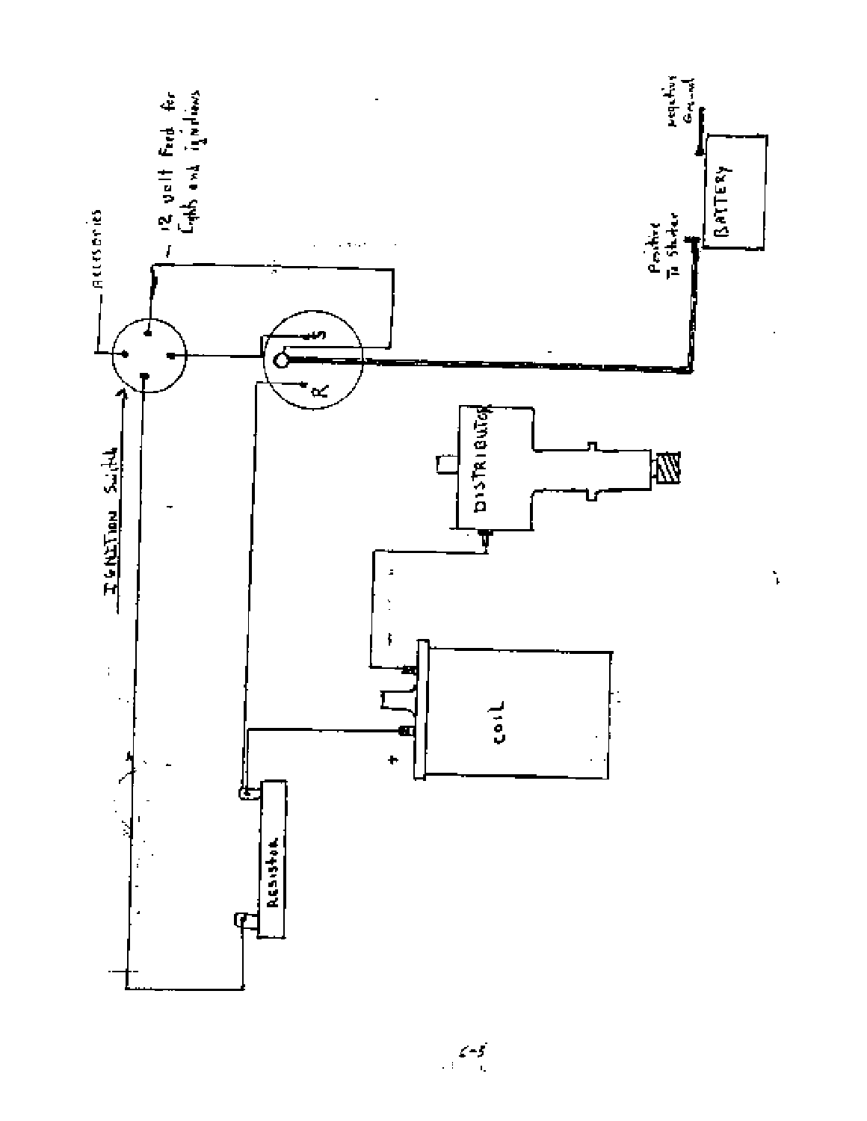

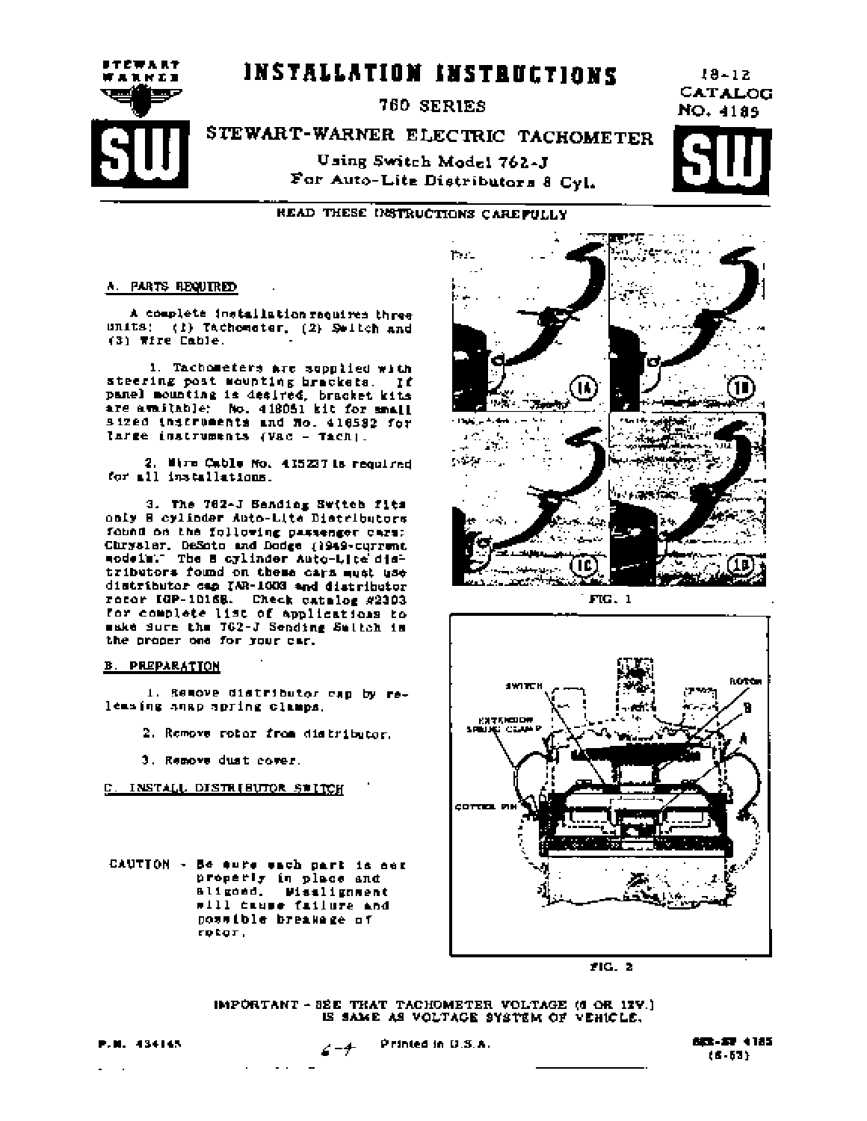# INSTALLATION INSTRUCTIONS

**760 SERIES** 

For Auto-Lite Distributors 8 Cyl.

 $18 - 12$ CATALOG NO. 4185

# STEWART-WARNER ELECTRIC TACHOMETER Using Switch Model 762-J



READ THESE DISTRUCTIONS CAREFULLY

### A. PARTS REQUIRED

**STEWART** 

WARRZI

جسا

A complete installation requires three units: (1) Tachcmeter. (2) Solich and (3) Wire Cable.

1. Tachometers are supplied with steering post mounting brackets. If panel mounting is desired, bracket kits are available: No. 418051 kit for small sized instruments and No. 416582 for large instruments (Vac - Tach).

2. Mirm Cable No. 415237 is required for all installations.

3. The 762-J Sending Switch fits only B cylinder Auto-Lite Distributors found on the following passenger cars: Chrysler, DeSoto and Dodge (1949-current<br>wodels: The B cylinder Auto-Lite distributors found on these cars must use distributor cap IAR-1003 and distributor rotor IGP-10168. Check catalog #2303 for complete list of Applications to make Sure the 762-J Sending Sultch in the proper one for your car.

### **B. PREPARATION**

1. Remove distributor cap by releasing anap spring clamps.

2. Remove rotor from distributor.

3. Remove dust cover.

C. INSTALL DISTRIBUTOR SWITCH

CAUTION - Be sure sach part is set properly in place and aligoed. Wisslignment will cause failure and possible breakage of rotor.

 $\sim$ 



 $FIG. 1$ 



FIG. 2

IMPORTANT - 32E THAT TACHOMETER VOLTAGE (6 OR 12Y.) IS SAME AS VOLTAGE SYSTEM OF VEHICLE.

P.M. 434145

Printed in U.S.A.  $6 - 4$ 

833-53 4185 16-531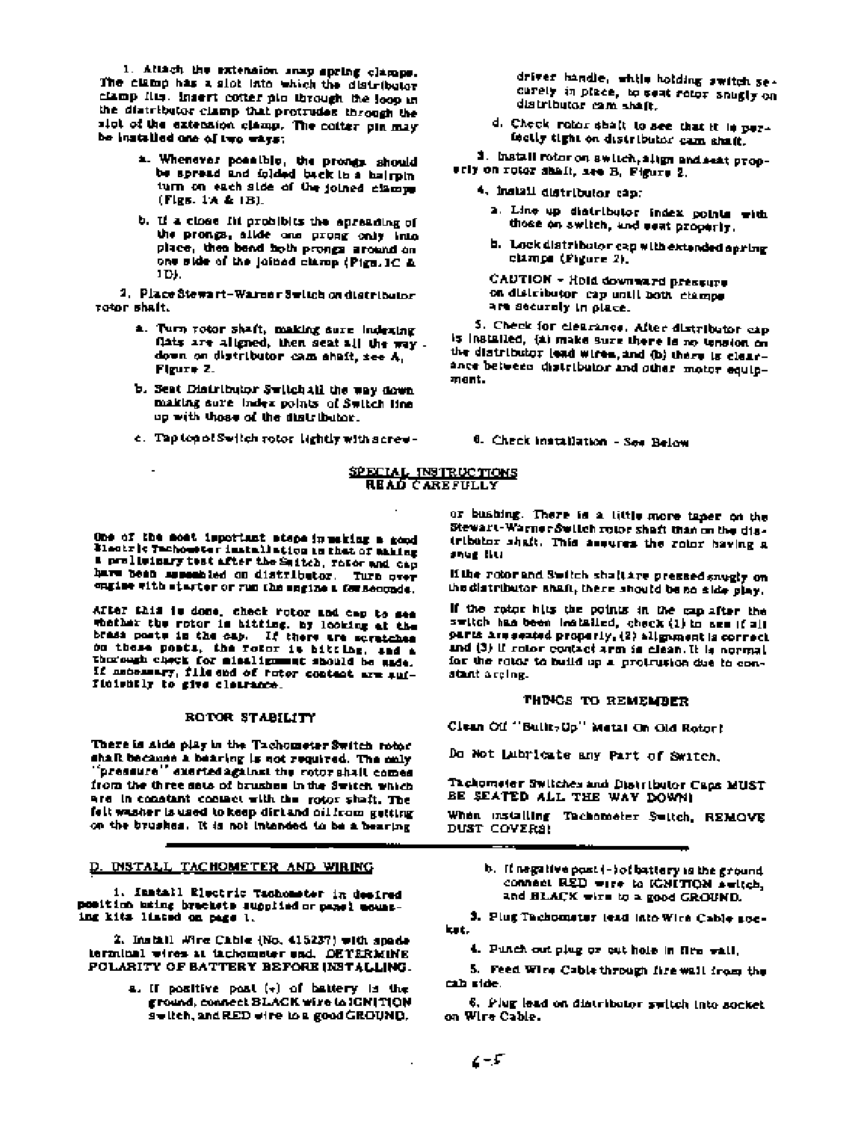1. Attach the extension anap spring clamps. The clamp has a slot into which the distributor clamp fits. Insert cotter pio through the loop in the distributor clamp that protrudes through the sict of the extension clamp. The coffer pin may be installed one of two ways:

- a. Whenever possible, the promes should be spread and folded back in a hairpin turn on each side of the joined clamps (Figs. 1A & 1B).
- b. If a close fit probibits the apreading of the prongs, alide one prong only into place, then bend hoth prongs around on one side of the joined clamp (Pigs, IC A IDL.

2. Place Stewart-Warner Switch on distributor rotor shaft.

- a. Turn rotor shaft, making sure indexing flats are aligned, then seat all the way. down on distributor cam shaft, see A, Figure 2.
- b. Seat Distributor Switch All the way down. making sure index points of Switch line up with those of the distributor.
- c. Taptonol Switch rotor lightly with screw-

driver handle, while holding switch securely in place, to seat rotor snugly on distributor cam shaft.

d. Check rotor shall to see that it is perfectly tight on distributor cam shaft.

1. Install rotor on switch, align and seat propwrit on rotor shalt, are B. Figure 2.

- 4. Install distributor cap:
	- a. Line up distributor index points with those on switch, and seat properly.
	- b. Lock distributor cap with extended apring clamps (Pigure 2).

CAUTION - Hold downward pressure on distributor cap until both champs are securely in place.

5. Check for clearance, After distributor capis installed, (a) make sure there is no tension on the distributor lead wires, and (b) there is clearance between distributor and other motor equipment.

6. Check installation - See Below

### SPECIAL INSTRUCTIONS **READ CAREFULLY**

One of the most important steps in making a good Plastric Tachometer installation in that of saiding a proliminary test after the Smitch, refer and cap have been assembled on distributor. Turn over engine with minuter or run the engine a forseconds.

After this is done, check rotor and cap to see whather the rotor is hitting, by looking at the brasa posts in the cap. If there are scratches on these posts, the rotor it bitting, and a thorough check for minalignment should be unde. If antennary, file and of rator content are sufficiently to give clourance.

### ROTOR STABILITY

There is side play in the Tachometer Switch rotor shaft because a bearing is not required. The only 'pressure'' exerted against the rotor shall comes from the three sats of brushes in the Switch which are in constant contact with the rotor shaft. The felt washer is used to keep dirt and oil from getting on the brushes. It is not intended to be a bearing

### D. DISTALL TACHOMETER AND WIRING

1. Install Electric Tachometer in desired position maing brackets supplied or panel mount-

2. Install Wire Cable (No. 415237) with spade terminal wires at tachometer and. DETERMINE POLARITY OF BATTERY BEFORE INSTALLING.

> a. If positive post  $(*)$  of battery is the ground, connect BLACK wire to IGNITION suitch, and RED wire to a good GROUND.

or bushing. There is a little more taper on the Stewart-Warner Switch rotor shaft than on the distributor shaft. This assures the rotor having a snue titul

if the rotor and Switch shall are pressed saugly on the distributor shaft, there should be no side play.

If the rotor hits the points in the cap after the switch has been leatailed, check (1) to age ([a]] parts are seated properly, (2) allgament is correct. and (3) if rotor contact arm is clean. It is normal for the rotor to build up a protrusion due to constant arcing.

### THINGS TO REMEMBER

Clean Oil "Bullt-Up" Metal On Old Rotor!

Do Not Lubricate any Part of Switch.

Tachometer Switches and Distributor Caps MUST BE SEATED ALL THE WAY DOWN!

When mstalling Tachometer Suitch, REMOVE DUST COVERS!

> b. If negative post (-) of battery is the ground. connect RED wire to IGNITION awitch, and BLACK wire to a good GROUND.

3. Plug Tachometer lead into Wire Cable socket.

4. Punch out plug or cut hole in fire wall.

5. Feed Wine Cable through fire wall from the cab side.

6. Plug lead on distributor switch into socket on Wire Cable.

 $\cdot$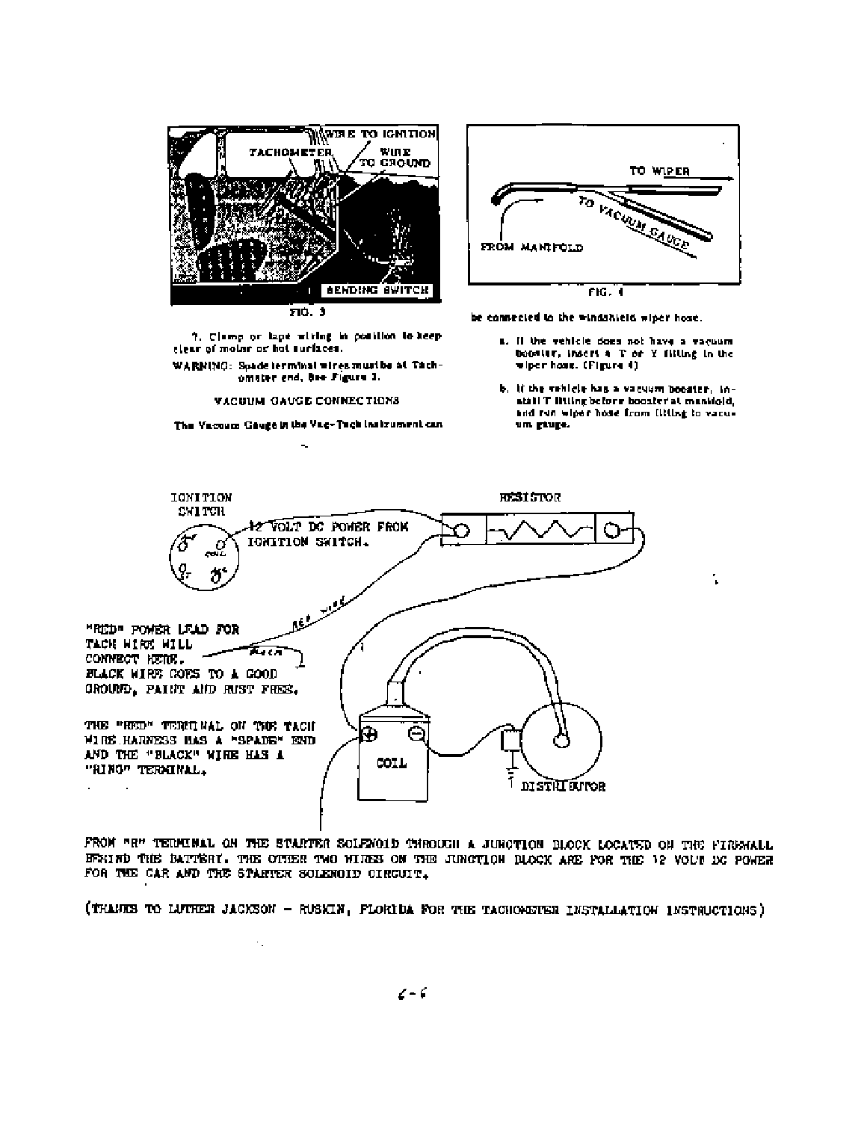

?. Clamp or lape witing in contilion to keep elear of moint or hot surfaces.

WARNING: Spade terminal wires must be at Tachomater end, hee Figure 1.

VACUUM GAUGE CONNECTIONS

The Vacoum Gauge in the Vac-Tach instrument can  $\overline{\phantom{a}}$ 

 $\ddot{\phantom{a}}$  .



be connected to the windshield wiper hose.

- L. Il the vehicle does not have a vacuum booster, insert a T or Y filling in the wiper hose. (Figure 4)
- b. If the vehicle has a vacuum booster, install T litting before booster at manifold. and run wiper hose from Illting to vacuum giuge.

ι



FROM "E" TERMINAL ON THE STARTER SOLEMOID THROUGH A JUNCTION BLOCK LOCATED ON THE FIREMALL EFRIND THE BATTERY. THE OTHER TWO WIRES ON THE JUNCTION BLOCK ARE FOR THE 12 VOLU DC POWER FOR THE CAR AND THE STARTER SOLENOID CIRCUIT.

(THANKS TO LUTHER JACKSON - RUSKIN, FLORIDA FOR THE TACHOMETER INSTALLATION INSTRUCTIONS)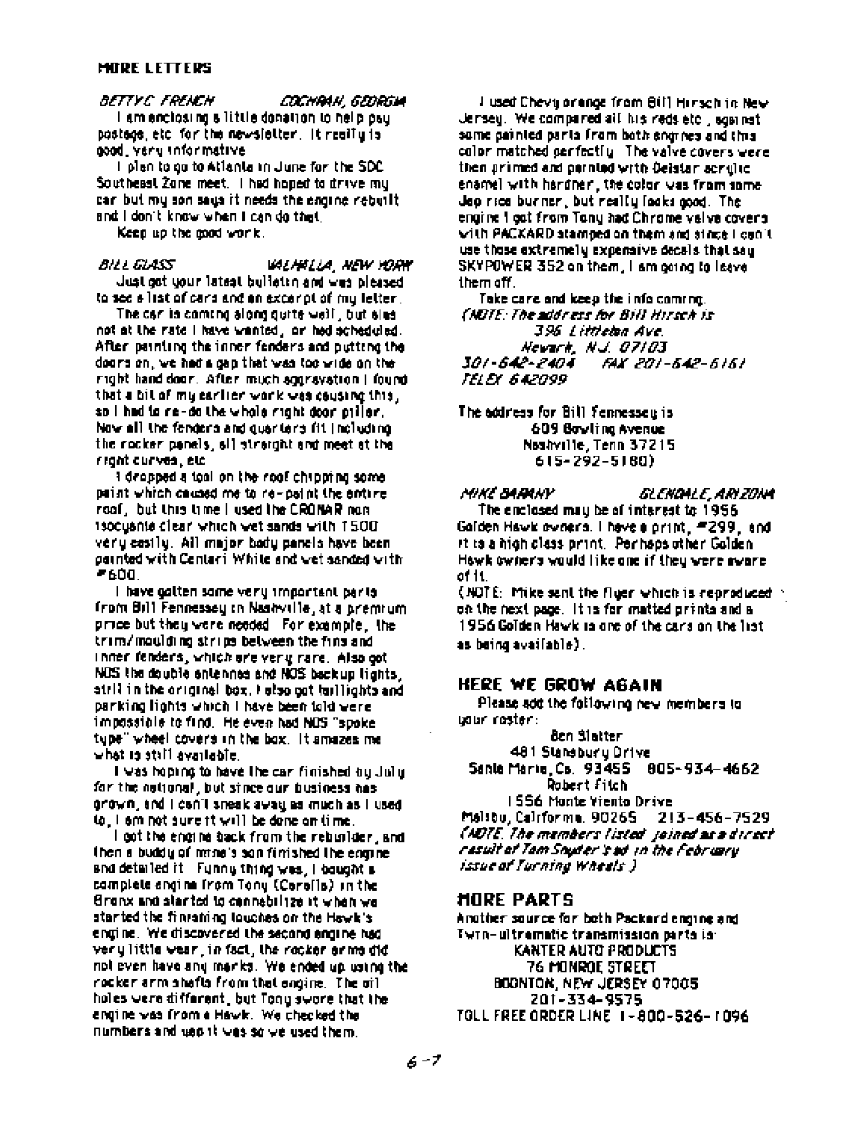### **MORE LETTERS**

BETTY C FRENCH COCHRAN, GEORGIA I am enclosing a little donation to help pay. postage etc for the newsletter. It really is good, very informative

I plan to go to Atlanta in June for the SDC. Southeast Zone meet. I had hoped to drive my can but my son says it needs the engine rebuilt. and I don't know when I can do that

Keep up the good work.

BILL GLASS VALHALLA, NEW YORK Just got your latest bulletin and was pleased. to see a list of cars and an excerpt of my letter.

The car in coming along quite well, but sles not at the rate I have wanted, or hed acheduled. After painting the inner fenders and putting the doors on, we had a gap that was too wide on the right hand door. After much aggravation | found that a bit of my earlier work was causing this, so I had to re-do the whole right door piller. Now all the fenders and quarters fit (including the rocker panels, all straight and meet at the reght curves, etc.

i dropped a tool on the roof chipping some. paint which caused me to re-paint the entire. roof,but this time I used the CRONAR nunisocusnie clear which wet sands with 1500. very easily. All major body panels have been painted with Centari White and wet sanded with -600.

I have galten some very important parts. from Bill Fennessey in Nashville, at a premium price but they were needed. For example, the trim/moulding strips between the fins and inner fenders, which are very rare. Also got NOS the double entennes and NOS backup lights, strill in the original box. I also got faillights and parking lights which I have been told vere impossible to find. He even had NOS "spoke" type" wheel covers in the bax. It amazes me what is still available.

I was hoping to have the car finished by July. for the notional, but since our business has grown, and I can't sneak away as much as I used. to, i em not sure tt will be done on time.

I got the engine back from the rebuilder, and then a buddy of mine's son finished the engine. and detailed it. Funny thing was, I bought a complete angina from Tony (Carafia) in the Gronx and started to connabilize it when we started the finishing loughes on the Hewk's engine. We discovered the second engine had very little wear, in fact, the rocker erms did not even have any marks. We ended up using the rocker arm shafts from that engine. The oil. holes were different, but Tony swore that the engine was from a Hawk. We checked the numbers and use it was so we used them.

I used Chevy orange from Bill Hirsch in New Jersey. We compared all his reds etc., against some painted parts from both engines and this color matched perfectly. The valve covers were then primed and parnied with Deistar scruite. ename) with hardner, the color was from some. Jep rice burner, but really fooks good. The engine I got from Tony had Chrome velve covers. with PACKARD stamped on them and since I can't use those extremely expensive decals that say SKYPOWER 352 on them, I am going to leave them off.

Take care and keep the info coming. (NDTE: The address for Bill Hirsch is 396 Littleton Ave. Newark, N.J. 07103 301-542-2404 FAX 201-542-5151 TELEX 642099

The address for Bill femnessey is 609 Bowling Avenue Nealty ille, Tenn 37215 615-292-5180)

Mike Barnay *GLENDALE, ARIZONA* The enclosed may be of interest to 1956. Galden Hawk owners. I have a print, #299, and it is a high class print. Perhaps other Golden-Hawk owners would like one if they were aware. of 11.

(NOTE: Mike sent the fliger which is reproduced  $\sim$ on the next page. It is for matted prints and a 1956 Golden Hawk is one of the cars on the list. as being available).

## **HERE WE GROW AGAIN**

Please add the following new members to udur roster:

8en Slatter 481 Stansbury Drive Santa Marie, Cs. 93455 - 805-934-4662 Robert Filch I 556 Monte Viento Drive

Maisbu, Cairforma, 90265 213-456-7529 (NDTE, The members listed, joined as a direct, result of Tom Shyder's ad in the February. issue of Turning Wheels ).

### **HORE PARTS**

Anather source for both Packard engine and Twrn-uitrematic transmission parts is: KANTER AUTO PRODUCTS 76 MONROE STREET BOONTON, NEW JERSEY 07005 201-334-9575 TOLL FREE ORDER LINE 1-800-526-1096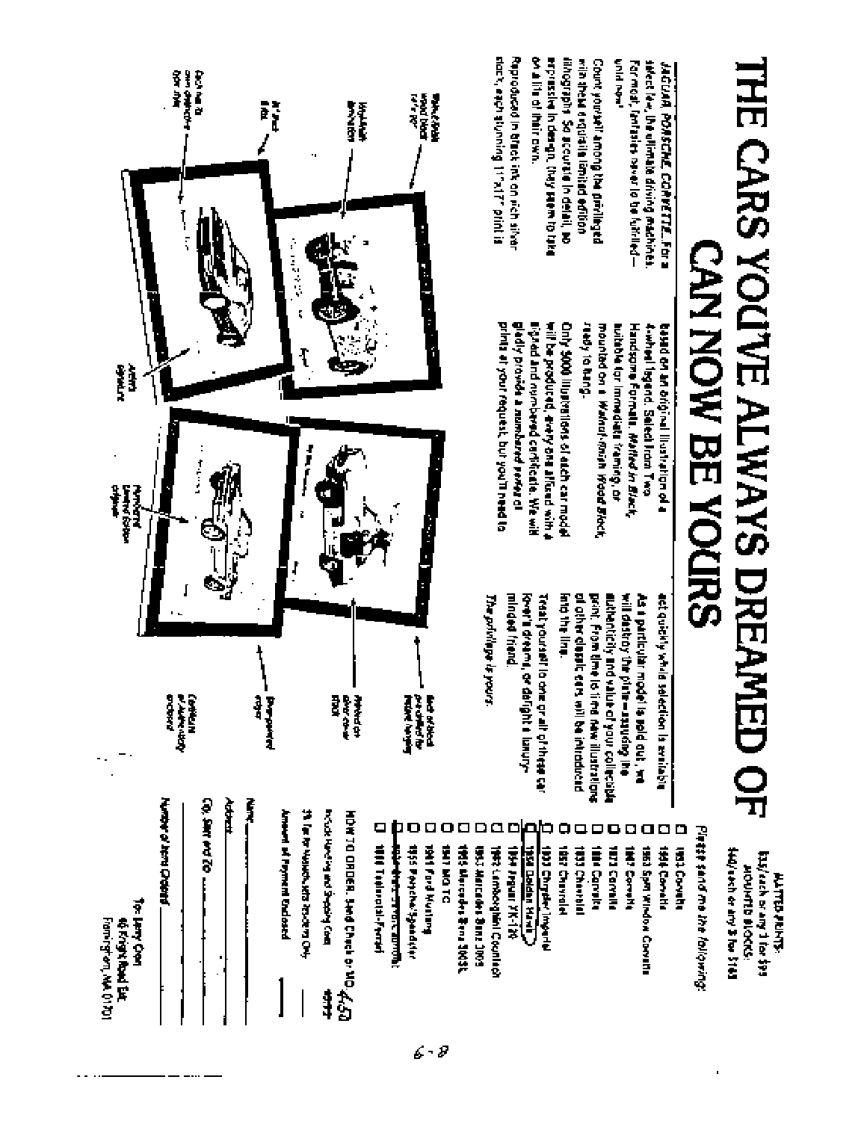# THE CARS YOU'VE ALWAYS DREAMED OF **CAN NOW BE YOURS**

**SIMBAR Far Hotel Transit Development Transit Transit L** sesters feet, IP e-ullian also tarising management **JAGUAR POASCHE CORVETTE. FOR** 

**FINISHED OF MORE AND INTERNATIONAL CONTINUES** while their ratio lihograph Souccurate In detail, No wils sheek angula lumitad edibab Count yourself among the privileged

**Reproduced in the research interventional** slack, each slunning 11°x17° print is

> besad on an original lituation of a ready to heng. suitable tor immediate framing, or Handsome Formula. Melled in Einste 4-wheel lagerd. Select Iram Two **included on ■ 米メリュンジョッド みんのみ ほんぐん**

prints at your request, but you'll need to gladly provida a numbered verse al **Will be produced, even affixed with a** Only 5000 illustrations of each car model ligned and numbered cartificate. We will

# act quickly while selection is available

of other clessic cars will be introduced print. From time to time new illustrations authoritäty and value of your collection will destroy the plate—assure the ing the line. de a particular model is pold out, we

Kret's dreams, or defight a lunuryminded friend. Treat yourself to one or all of these can

The privilege is yours



secher that the ST43 Eds volume function (SEE **HOUNTD BLOCKS: MATTED AGMYS:** 

Platte sand me the following:

litat Correll

はなき ウチャミド

1953 Spar Window Convette

ooo INJ Correll

**TITI Corvalla** 

The Carrier

**TRIS Chancelai** 

**1857 Chavrolet** 

anao **IDD Chrysler Imparts** 

**Clerk upped Bitt DET-MY TRIPPER RE** 

1992 Lamborghini Countabl

ם **BYJ MATCANA BOTA JOYS** 

Ω IMS Muceder Benz 300SL

**DI DIRIKE** 

**Button program** 

 $6 - 8$ 

**ISSE Portehally adaptable** 

ο **Hill Teachmont Premish** http://www.communication.com/

head Hunting and Shabing Com HOW TO ORDER, Smd Check or NO 4450 1

きゅうせきそう スロムオリロチ

Americal af Payment Enclosed

Ĵ

**Co, SMY AND TO ...** Ì

**Anaby of New Orients** 

for Linny Creat

to know that Eart

Framington, MAL01701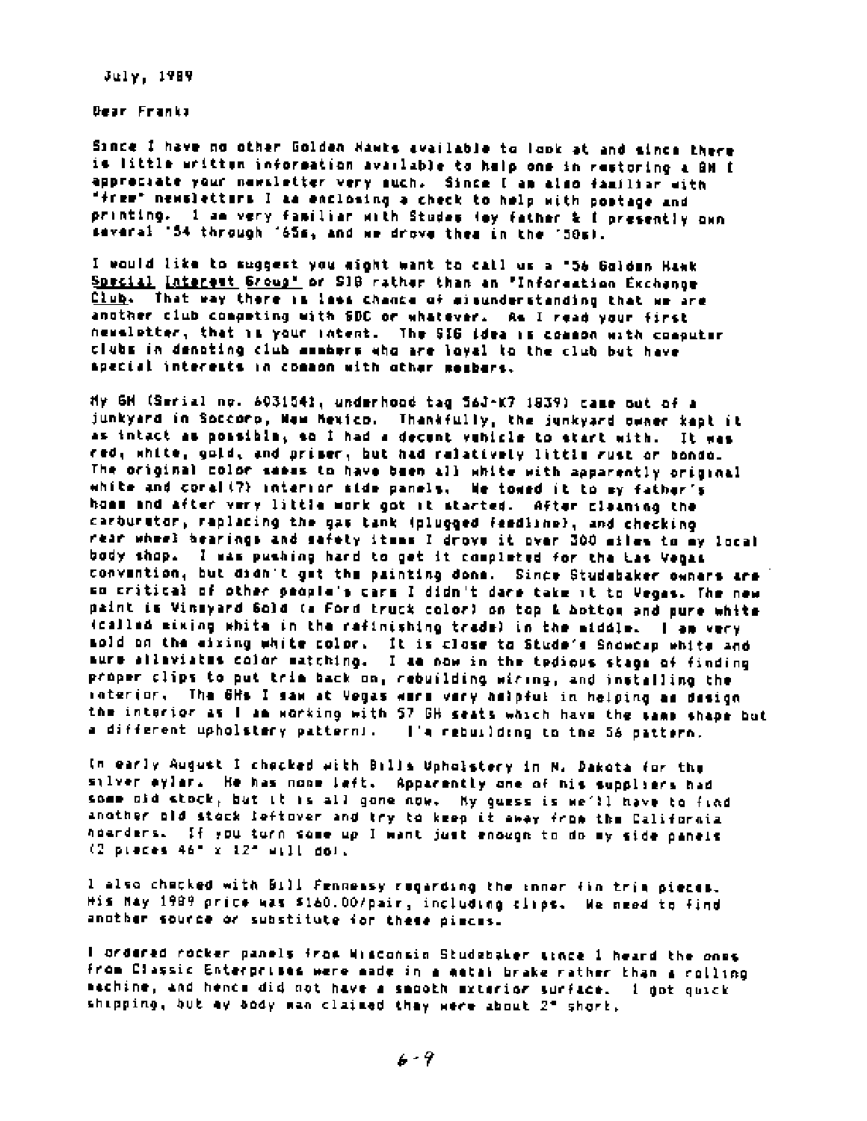July, 1989

Dear Franks

Since I have no other Golden Hawks available to look at and since there is little written information available to help one in restoring a GM I approciate your newsletter very such. Since I am also familiar with "free" newsletters I as enclosing a check to help with postage and printing. I am very familiar with Studes (my father & I presently own savaral '54 through '65s, and we drove them in the '50s).

I would like to suggest you might want to call us a '56 Goldan Hawk Special Interest Group" or SIB rather than an "Information Exchange Club. That way there in loss chance of eisunderstanding that we are another club competing with SDC or whatever. As I read your first neweletter, that is your intent. The SIG idea is common with computer clubs in denoting club assbers who are loyel to the club but have special interests in common with other members.

My GM (Serial no. 6031541, underhood tag 56J-K7 1839) came out of a junkyard in Soccoro, New Mexico. Thankfully, the junkyard owner kapt it as intact as possible, so I had a decent vehicle to start with. It was red, white, gold, and primer, but had ralatively little rust or bondo. The original color seeas to have been all white with apparently original white and coral (7) interior side panels. We towed it to my father's home and after very little work got it started. After cleaning the carburator, replacing the gas tank (plugged feedline), and checking rear wheel bearings and safety itses I drove it over 300 miles to my local body shop. I was pushing hard to get it completed for the Las Vegas convention, but didn't get the painting done. Since Studebaker owners are so critical of other people's cars I didn't dare take it to Vegas. The new paint is Vinsyard Gold (a Ford truck color) on top & bottom and pure white (called mixing white in the rafinishing trade) in the middle. I am very sold on the eixing white color. It is close to Stude's Snowcap white and sure allaviates color matching. I am now in the tedious stage of finding proper clips to put trim back on, rebuilding wiring, and installing the raterior. The 6Hs I saw at Vegas were very helpful in helping as design the interior as I am working with 57 GH seats which have the same shape but a different upholstery pattern). I's rebuilding to the 56 pattern.

In early August I checked with Bills Upholstery in N. Dakota for the silver eylar. He has none left. Apparently one of his suppliers had some old stock, but it is all gone now. My guess is we'll have to find another old stock leftover and try to keep it away from the California noarders. If you turn some up I want just enough to do my side panels  $(2$  preces  $46" \times 12"$  will dol.

I also checked with Bill Fennessy regarding the inner fin trim pieces. His May 1989 price was \$160.00/pair, including clips. We need to find another source or substitute for these pieces.

I ordered rocker panels from Wisconsin Studebaker tince 1 heard the ones from Classic Enterprises were made in a matal brake rather than a rolling mechine, and hence did not have a smooth exterior surface. I got quick shipping, but my body man claimed they were about 2" short,

 $6 - 9$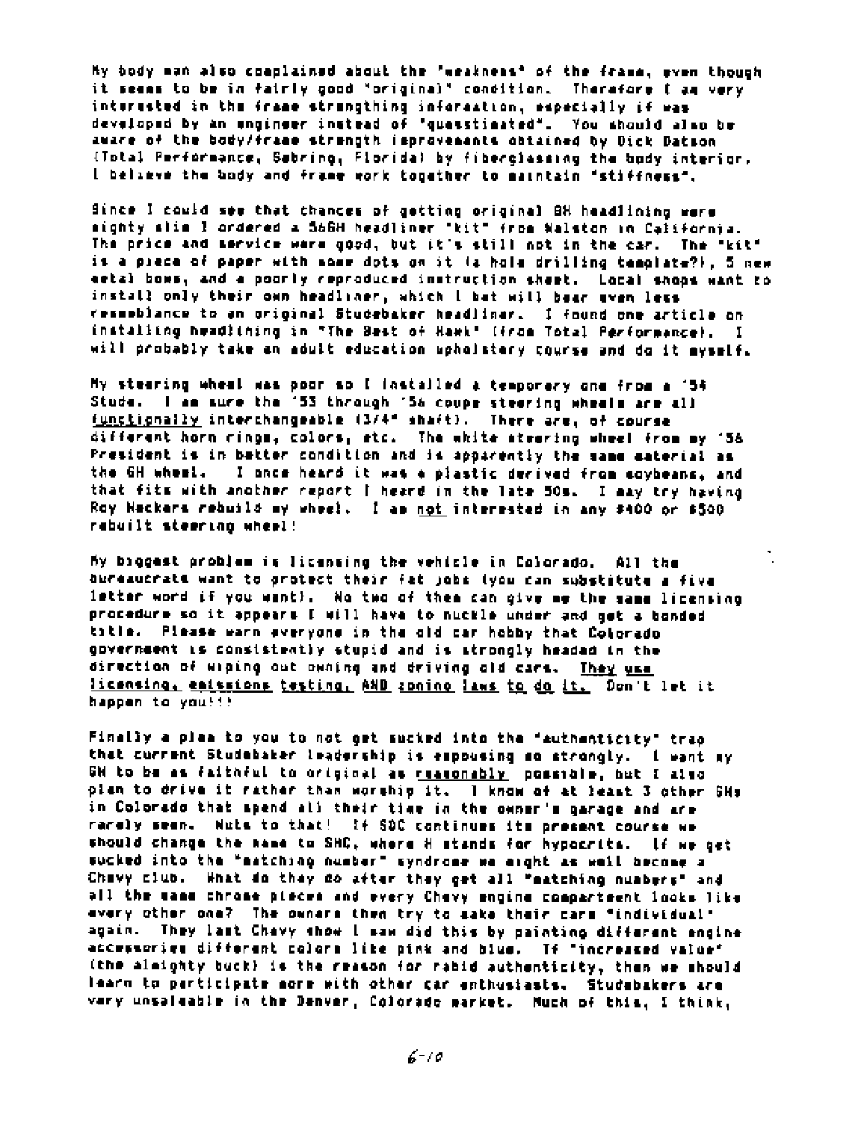My body man also coaplained about the "weakness" of the frame, even though it seems to be in fairly good "original" condition. Therefore I am very interested in the frame strengthing information, mapecially if was developed by an engineer instead of "quasstimated". You should also be aware of the body/frame strength improvements obtained by Dick Datson (Total Performance, Sabring, Florida) by fiberglassing the body interior. I believe the body and frame work topather to maintain "stiffness".

Since I could see that thances of getting original GH headlining were mighty slim I ordered a S66H headliner "kit" from Walston in California. The price and mervior were good, but it's still not in the car. The "kit" is a piece of paper with some dots on it is holm drilling template?), 5 new ectal bows, and a poorly reproduced instruction sheet. Local shoos want to install only their own headliner, which I bet will bear even less resemblance to an original Studebaker headlinar. I found one article on installing headlining in "The Best of Hawk" (from Total Performance). I will probably take an adult education upholstery course and do it myself.

My stearing wheal was poor so I (nstalled a temporary one from a '54 Stude. I am sure the '53 through '56 coupe steering wheels are all functionally interchangeable (3/4" shaft). There are, of course different horn rings, colors, etc. The white steering wheel from my '56 President is in better condition and is apparently the same eaterial as the GH wheel. I ance heard it was a plastic derived from coybeans, and that fits with another report I heard in the late 50s. I may try having Roy Neckers rebuild my wheel. I am not interested in any \$400 or \$500 rabuilt steering wheel!

My biggest problem is licensing the vehicle in Calorado. All the aureaucrate want to protect their fat jobs (you can substitute a five letter word if you want). No two of them can give me the same licensing procedure so it appears I will have to nuckle under and get a bonded title. Please warn everyone in the old car hobby that Colorado government is consistently stupid and is atrongly headed in the direction of wiping out owning and driving ald cars. They use licensing, emissions testing, AND zoning laws to do it. Don't let it happen to you!!!!

Finally a plaa to you to not get sucked into the "authenticity" trap that current Studebaker leadership is expousing so strongly. I want my GM to be as faithful to original as reasonably possible, but I also plan to drive it rather than worship it. I know of at least 3 other GHs in Colorado that spend all their time in the owner's garage and are rarely seem. Wuts to that! If SOC continues its present course we should change the name to SHC, where H stands for hypocrits. If we get sucked into the "matching number" syndrome we eight as well become a Chavy club. What do they do after they get all "matching nuabers" and all the mand chrose pieces and every Chevy engine cosparteent looks like every other one? The owners then try to sake their cars "individual" again. They last Chavy show I saw did this by painting different engine accessories different colors like pink and blue. If "increased value" (the almighty buck) is the reason for rabid authoritity, then we should learn to perticipate more with other car enthusiasts. Studebakers are very unsaleable in the Denver, Colorado market. Much of this, I think,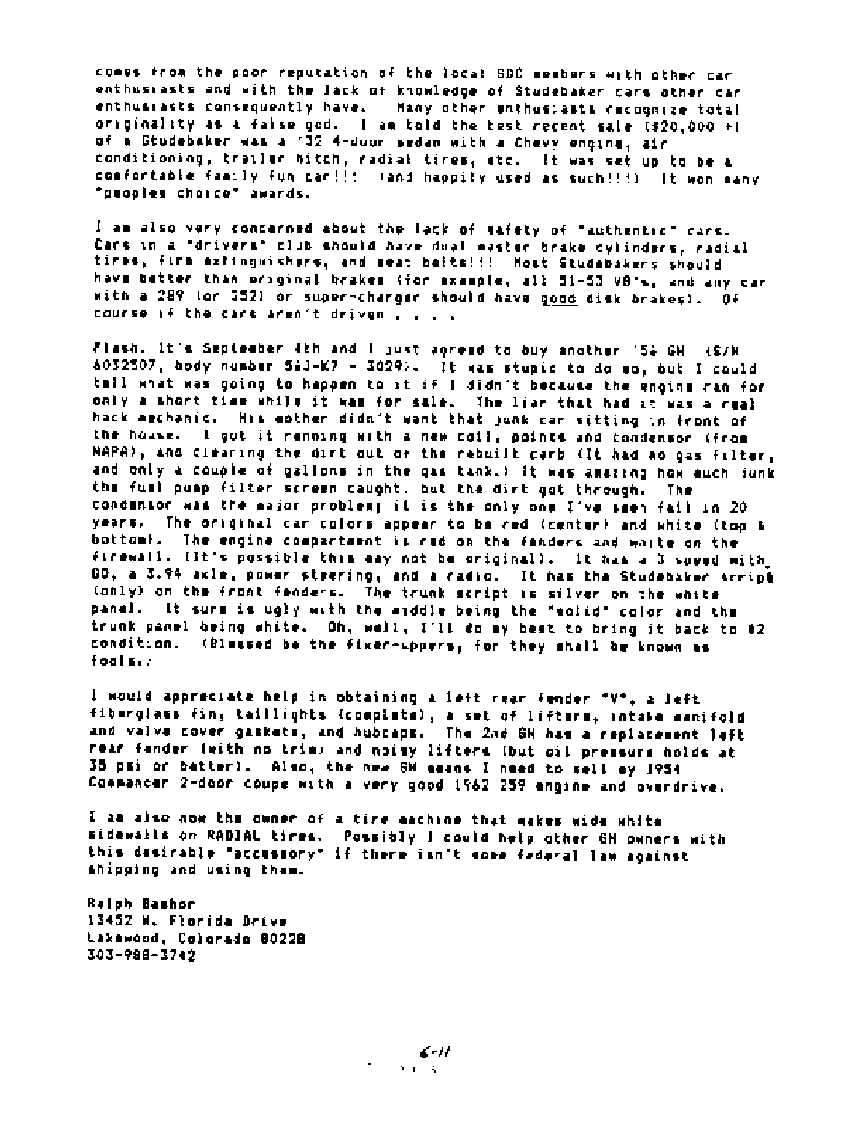comes from the poor reputation of the local SDC members with other car enthusiasts and with the Jack of knowledge of Studebaker cars other car enthus:asts consequently have. Many other unthus:asts cacognize total originality as a faise god. I am told the best regent sale (\$20,000 +) of a Studebaker was a '32 4-door sedan with a Chevy engine, air conditioning, trailer bitch, radial tires, etc. It was set up to be a comfortable family fun car!!! (and happily used as such!!!) It won many "puoples choice" awards.

I am also very concerned about the lack of safety of "authentic" cars. Cars in a "drivers" club should have dual master brake cylinders, radial tires, firm extinguishers, and seat belts!!! Most Studebakers should have better than original brakes (for example, all 51-53 VB's, and any car with a 289 lor 3521 or super-charger should have good disk brakes). Of course if the cars aren't driven . . . .

Flash. It's September 4th and I just agreed to buy another '56 GH (S/M 4032507, body number 56J-K7 - 3029). It was stupid to do so, but I could toil what was going to happen to it if I didn't because the enging ran for only a short time while it was for sale. The ligr that had at was a real hack mechanic. Him mother didn't want that junk car sitting in front of the house. I got it running with a new coil, points and condensor (from NAPA), and cleaning the dirt out of the rebuilt carb (It had no gas filter, and only a couple of gallons in the gas tank.) It was amazing how euch junk the fuel pamp filter screen caught, but the dirt got through. The condensor was the major problemy it is the only one I've seen fail in 20 years. The original car colors appear to be and (center) and white (top b bottom). The engine compartment is rud on the fanders and white on the firewall. IIt's possible this may not be originall. It has a 3 speed with 00, a 3.94 akle, power steering, and a radio. It has the Studebaker script (only) on the front fenders. The trunk script is silver on the white panel. It surm is ugly with the middle being the "solid" color and the trunk panel being white. Oh, well, I'll do ay best to bring it back to 02 condition. (Blessed be the fixer-uppers, for they shall be known as  $f$ oals. $F$ 

I would appreciate help in obtaining a left rear fender "V", a left fiburglass fin, taillights (complete), a set of lifters, intake manifold and valve cover gaskets, and hubcaps. The 2nd GH has a replacement left rear fander (with no trim) and noisy lifters (but oil pressure holds at 35 psi or batter). Also, the new GM means I need to sell my 1954 Commander 2-door coupe with a very good 1962 259 engine and overdrive.

I as also now the owner of a tire eachine that makes wide white sidewails on RADIAL tires. Possibly I could help other GH owners with this dasirable "accusmory" if there ian't some federal law against shipping and using them.

**Relph Bashor** 13452 W. Florida Drive Lakewood, Colorado 80228 303-988-3742